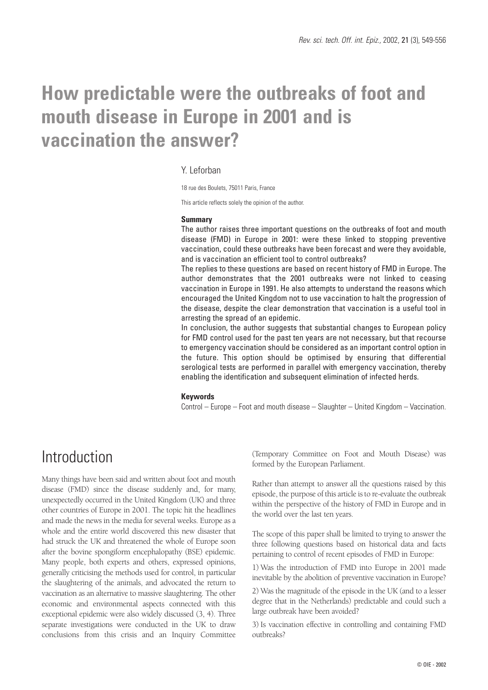# **How predictable were the outbreaks of foot and mouth disease in Europe in 2001 and is vaccination the answer?**

#### Y. Leforban

18 rue des Boulets, 75011 Paris, France

This article reflects solely the opinion of the author.

#### **Summary**

The author raises three important questions on the outbreaks of foot and mouth disease (FMD) in Europe in 2001: were these linked to stopping preventive vaccination, could these outbreaks have been forecast and were they avoidable, and is vaccination an efficient tool to control outbreaks?

The replies to these questions are based on recent history of FMD in Europe. The author demonstrates that the 2001 outbreaks were not linked to ceasing vaccination in Europe in 1991. He also attempts to understand the reasons which encouraged the United Kingdom not to use vaccination to halt the progression of the disease, despite the clear demonstration that vaccination is a useful tool in arresting the spread of an epidemic.

In conclusion, the author suggests that substantial changes to European policy for FMD control used for the past ten years are not necessary, but that recourse to emergency vaccination should be considered as an important control option in the future. This option should be optimised by ensuring that differential serological tests are performed in parallel with emergency vaccination, thereby enabling the identification and subsequent elimination of infected herds.

#### **Keywords**

Control – Europe – Foot and mouth disease – Slaughter – United Kingdom – Vaccination.

## **Introduction**

Many things have been said and written about foot and mouth disease (FMD) since the disease suddenly and, for many, unexpectedly occurred in the United Kingdom (UK) and three other countries of Europe in 2001. The topic hit the headlines and made the news in the media for several weeks. Europe as a whole and the entire world discovered this new disaster that had struck the UK and threatened the whole of Europe soon after the bovine spongiform encephalopathy (BSE) epidemic. Many people, both experts and others, expressed opinions, generally criticising the methods used for control, in particular the slaughtering of the animals, and advocated the return to vaccination as an alternative to massive slaughtering. The other economic and environmental aspects connected with this exceptional epidemic were also widely discussed (3, 4). Three separate investigations were conducted in the UK to draw conclusions from this crisis and an Inquiry Committee (Temporary Committee on Foot and Mouth Disease) was formed by the European Parliament.

Rather than attempt to answer all the questions raised by this episode, the purpose of this article is to re-evaluate the outbreak within the perspective of the history of FMD in Europe and in the world over the last ten years.

The scope of this paper shall be limited to trying to answer the three following questions based on historical data and facts pertaining to control of recent episodes of FMD in Europe:

1) Was the introduction of FMD into Europe in 2001 made inevitable by the abolition of preventive vaccination in Europe?

2) Was the magnitude of the episode in the UK (and to a lesser degree that in the Netherlands) predictable and could such a large outbreak have been avoided?

3) Is vaccination effective in controlling and containing FMD outbreaks?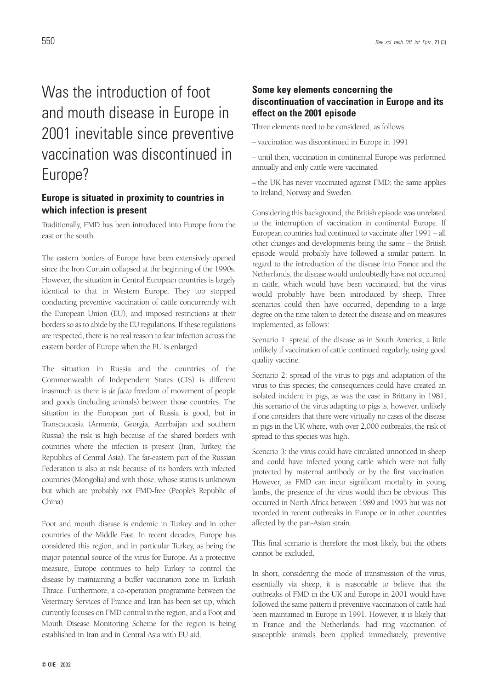## Was the introduction of foot and mouth disease in Europe in 2001 inevitable since preventive vaccination was discontinued in Europe?

### **Europe is situated in proximity to countries in which infection is present**

Traditionally, FMD has been introduced into Europe from the east or the south.

The eastern borders of Europe have been extensively opened since the Iron Curtain collapsed at the beginning of the 1990s. However, the situation in Central European countries is largely identical to that in Western Europe. They too stopped conducting preventive vaccination of cattle concurrently with the European Union (EU), and imposed restrictions at their borders so as to abide by the EU regulations. If these regulations are respected, there is no real reason to fear infection across the eastern border of Europe when the EU is enlarged.

The situation in Russia and the countries of the Commonwealth of Independent States (CIS) is different inasmuch as there is *de facto* freedom of movement of people and goods (including animals) between those countries. The situation in the European part of Russia is good, but in Transcaucasia (Armenia, Georgia, Azerbaijan and southern Russia) the risk is high because of the shared borders with countries where the infection is present (Iran, Turkey, the Republics of Central Asia). The far-eastern part of the Russian Federation is also at risk because of its borders with infected countries (Mongolia) and with those, whose status is unknown but which are probably not FMD-free (People's Republic of China).

Foot and mouth disease is endemic in Turkey and in other countries of the Middle East. In recent decades, Europe has considered this region, and in particular Turkey, as being the major potential source of the virus for Europe. As a protective measure, Europe continues to help Turkey to control the disease by maintaining a buffer vaccination zone in Turkish Thrace. Furthermore, a co-operation programme between the Veterinary Services of France and Iran has been set up, which currently focuses on FMD control in the region, and a Foot and Mouth Disease Monitoring Scheme for the region is being established in Iran and in Central Asia with EU aid.

### **Some key elements concerning the discontinuation of vaccination in Europe and its effect on the 2001 episode**

Three elements need to be considered, as follows:

– vaccination was discontinued in Europe in 1991

– until then, vaccination in continental Europe was performed annually and only cattle were vaccinated

– the UK has never vaccinated against FMD; the same applies to Ireland, Norway and Sweden.

Considering this background, the British episode was unrelated to the interruption of vaccination in continental Europe. If European countries had continued to vaccinate after 1991 – all other changes and developments being the same – the British episode would probably have followed a similar pattern. In regard to the introduction of the disease into France and the Netherlands, the disease would undoubtedly have not occurred in cattle, which would have been vaccinated, but the virus would probably have been introduced by sheep. Three scenarios could then have occurred, depending to a large degree on the time taken to detect the disease and on measures implemented, as follows:

Scenario 1: spread of the disease as in South America; a little unlikely if vaccination of cattle continued regularly, using good quality vaccine.

Scenario 2: spread of the virus to pigs and adaptation of the virus to this species; the consequences could have created an isolated incident in pigs, as was the case in Brittany in 1981; this scenario of the virus adapting to pigs is, however, unlikely if one considers that there were virtually no cases of the disease in pigs in the UK where, with over 2,000 outbreaks, the risk of spread to this species was high.

Scenario 3: the virus could have circulated unnoticed in sheep and could have infected young cattle which were not fully protected by maternal antibody or by the first vaccination. However, as FMD can incur significant mortality in young lambs, the presence of the virus would then be obvious. This occurred in North Africa between 1989 and 1993 but was not recorded in recent outbreaks in Europe or in other countries affected by the pan-Asian strain.

This final scenario is therefore the most likely, but the others cannot be excluded.

In short, considering the mode of transmission of the virus, essentially via sheep, it is reasonable to believe that the outbreaks of FMD in the UK and Europe in 2001 would have followed the same pattern if preventive vaccination of cattle had been maintained in Europe in 1991. However, it is likely that in France and the Netherlands, had ring vaccination of susceptible animals been applied immediately, preventive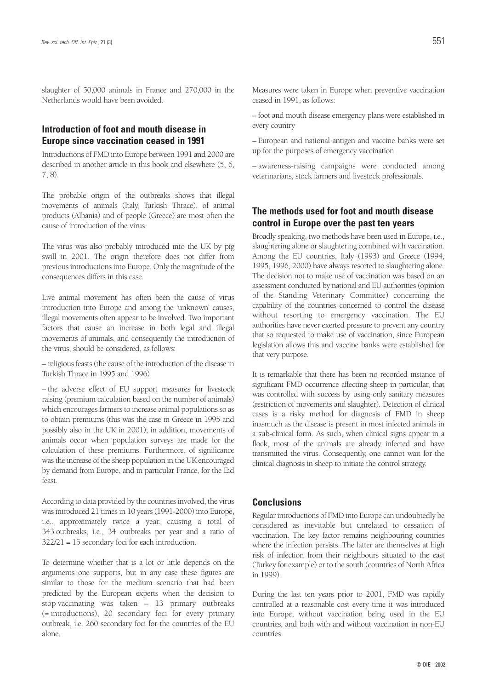slaughter of 50,000 animals in France and 270,000 in the Netherlands would have been avoided.

### **Introduction of foot and mouth disease in Europe since vaccination ceased in 1991**

Introductions of FMD into Europe between 1991 and 2000 are described in another article in this book and elsewhere (5, 6, 7, 8).

The probable origin of the outbreaks shows that illegal movements of animals (Italy, Turkish Thrace), of animal products (Albania) and of people (Greece) are most often the cause of introduction of the virus.

The virus was also probably introduced into the UK by pig swill in 2001. The origin therefore does not differ from previous introductions into Europe. Only the magnitude of the consequences differs in this case.

Live animal movement has often been the cause of virus introduction into Europe and among the 'unknown' causes, illegal movements often appear to be involved. Two important factors that cause an increase in both legal and illegal movements of animals, and consequently the introduction of the virus, should be considered, as follows:

– religious feasts (the cause of the introduction of the disease in Turkish Thrace in 1995 and 1996)

– the adverse effect of EU support measures for livestock raising (premium calculation based on the number of animals) which encourages farmers to increase animal populations so as to obtain premiums (this was the case in Greece in 1995 and possibly also in the UK in 2001); in addition, movements of animals occur when population surveys are made for the calculation of these premiums. Furthermore, of significance was the increase of the sheep population in the UK encouraged by demand from Europe, and in particular France, for the Eid feast.

According to data provided by the countries involved, the virus was introduced 21 times in 10 years (1991-2000) into Europe, i.e., approximately twice a year, causing a total of 343 outbreaks, i.e., 34 outbreaks per year and a ratio of 322/21 = 15 secondary foci for each introduction.

To determine whether that is a lot or little depends on the arguments one supports, but in any case these figures are similar to those for the medium scenario that had been predicted by the European experts when the decision to stop vaccinating was taken – 13 primary outbreaks (= introductions), 20 secondary foci for every primary outbreak, i.e. 260 secondary foci for the countries of the EU alone.

Measures were taken in Europe when preventive vaccination ceased in 1991, as follows:

– foot and mouth disease emergency plans were established in every country

– European and national antigen and vaccine banks were set up for the purposes of emergency vaccination

– awareness-raising campaigns were conducted among veterinarians, stock farmers and livestock professionals.

### **The methods used for foot and mouth disease control in Europe over the past ten years**

Broadly speaking, two methods have been used in Europe, i.e., slaughtering alone or slaughtering combined with vaccination. Among the EU countries, Italy (1993) and Greece (1994, 1995, 1996, 2000) have always resorted to slaughtering alone. The decision not to make use of vaccination was based on an assessment conducted by national and EU authorities (opinion of the Standing Veterinary Committee) concerning the capability of the countries concerned to control the disease without resorting to emergency vaccination. The EU authorities have never exerted pressure to prevent any country that so requested to make use of vaccination, since European legislation allows this and vaccine banks were established for that very purpose.

It is remarkable that there has been no recorded instance of significant FMD occurrence affecting sheep in particular, that was controlled with success by using only sanitary measures (restriction of movements and slaughter). Detection of clinical cases is a risky method for diagnosis of FMD in sheep inasmuch as the disease is present in most infected animals in a sub-clinical form. As such, when clinical signs appear in a flock, most of the animals are already infected and have transmitted the virus. Consequently, one cannot wait for the clinical diagnosis in sheep to initiate the control strategy.

#### **Conclusions**

Regular introductions of FMD into Europe can undoubtedly be considered as inevitable but unrelated to cessation of vaccination. The key factor remains neighbouring countries where the infection persists. The latter are themselves at high risk of infection from their neighbours situated to the east (Turkey for example) or to the south (countries of North Africa in 1999).

During the last ten years prior to 2001, FMD was rapidly controlled at a reasonable cost every time it was introduced into Europe, without vaccination being used in the EU countries, and both with and without vaccination in non-EU countries.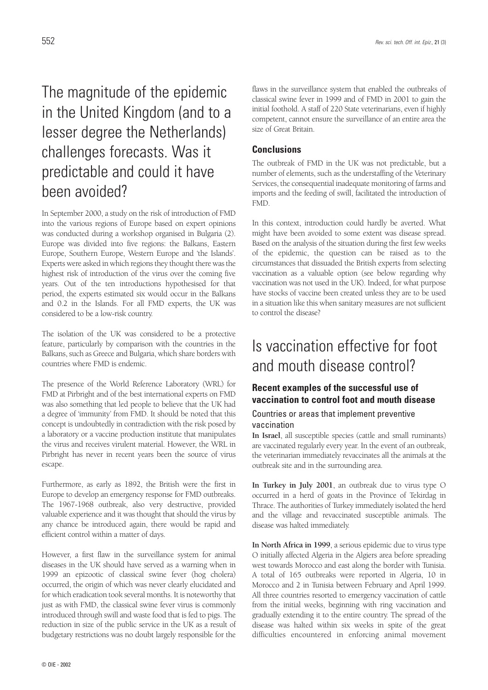## The magnitude of the epidemic in the United Kingdom (and to a lesser degree the Netherlands) challenges forecasts. Was it predictable and could it have been avoided?

In September 2000, a study on the risk of introduction of FMD into the various regions of Europe based on expert opinions was conducted during a workshop organised in Bulgaria (2). Europe was divided into five regions: the Balkans, Eastern Europe, Southern Europe, Western Europe and 'the Islands'. Experts were asked in which regions they thought there was the highest risk of introduction of the virus over the coming five years. Out of the ten introductions hypothesised for that period, the experts estimated six would occur in the Balkans and 0.2 in the Islands. For all FMD experts, the UK was considered to be a low-risk country.

The isolation of the UK was considered to be a protective feature, particularly by comparison with the countries in the Balkans, such as Greece and Bulgaria, which share borders with countries where FMD is endemic.

The presence of the World Reference Laboratory (WRL) for FMD at Pirbright and of the best international experts on FMD was also something that led people to believe that the UK had a degree of 'immunity' from FMD. It should be noted that this concept is undoubtedly in contradiction with the risk posed by a laboratory or a vaccine production institute that manipulates the virus and receives virulent material. However, the WRL in Pirbright has never in recent years been the source of virus escape.

Furthermore, as early as 1892, the British were the first in Europe to develop an emergency response for FMD outbreaks. The 1967-1968 outbreak, also very destructive, provided valuable experience and it was thought that should the virus by any chance be introduced again, there would be rapid and efficient control within a matter of days.

However, a first flaw in the surveillance system for animal diseases in the UK should have served as a warning when in 1999 an epizootic of classical swine fever (hog cholera) occurred, the origin of which was never clearly elucidated and for which eradication took several months. It is noteworthy that just as with FMD, the classical swine fever virus is commonly introduced through swill and waste food that is fed to pigs. The reduction in size of the public service in the UK as a result of budgetary restrictions was no doubt largely responsible for the

flaws in the surveillance system that enabled the outbreaks of classical swine fever in 1999 and of FMD in 2001 to gain the initial foothold. A staff of 220 State veterinarians, even if highly competent, cannot ensure the surveillance of an entire area the size of Great Britain.

#### **Conclusions**

The outbreak of FMD in the UK was not predictable, but a number of elements, such as the understaffing of the Veterinary Services, the consequential inadequate monitoring of farms and imports and the feeding of swill, facilitated the introduction of FMD.

In this context, introduction could hardly be averted. What might have been avoided to some extent was disease spread. Based on the analysis of the situation during the first few weeks of the epidemic, the question can be raised as to the circumstances that dissuaded the British experts from selecting vaccination as a valuable option (see below regarding why vaccination was not used in the UK). Indeed, for what purpose have stocks of vaccine been created unless they are to be used in a situation like this when sanitary measures are not sufficient to control the disease?

## Is vaccination effective for foot and mouth disease control?

### **Recent examples of the successful use of vaccination to control foot and mouth disease**

#### Countries or areas that implement preventive vaccination

**In Israel**, all susceptible species (cattle and small ruminants) are vaccinated regularly every year. In the event of an outbreak, the veterinarian immediately revaccinates all the animals at the outbreak site and in the surrounding area.

**In Turkey in July 2001**, an outbreak due to virus type O occurred in a herd of goats in the Province of Tekirdag in Thrace. The authorities of Turkey immediately isolated the herd and the village and revaccinated susceptible animals. The disease was halted immediately.

**In North Africa in 1999**, a serious epidemic due to virus type O initially affected Algeria in the Algiers area before spreading west towards Morocco and east along the border with Tunisia. A total of 165 outbreaks were reported in Algeria, 10 in Morocco and 2 in Tunisia between February and April 1999. All three countries resorted to emergency vaccination of cattle from the initial weeks, beginning with ring vaccination and gradually extending it to the entire country. The spread of the disease was halted within six weeks in spite of the great difficulties encountered in enforcing animal movement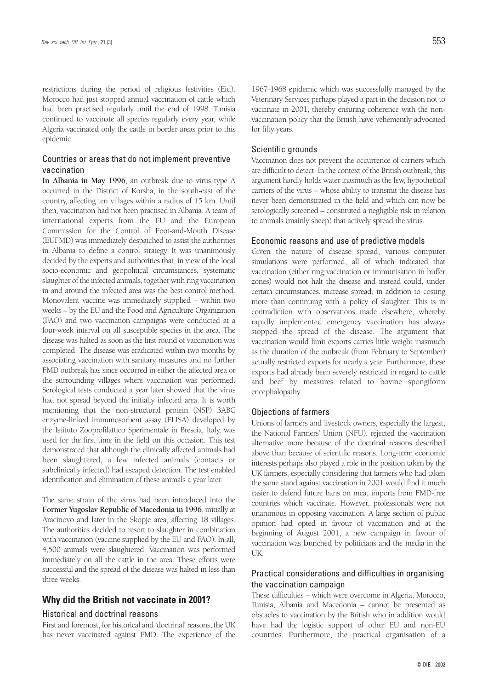restrictions during the period of religious festivities (Eid). Morocco had just stopped annual vaccination of cattle which had been practised regularly until the end of 1998. Tunisia continued to vaccinate all species regularly every year, while Algeria vaccinated only the cattle in border areas prior to this epidemic.

#### Countries or areas that do not implement preventive vaccination

**In Albania in May 1996**, an outbreak due to virus type A occurred in the District of Korsha, in the south-east of the country, affecting ten villages within a radius of 15 km. Until then, vaccination had not been practised in Albania. A team of international experts from the EU and the European Commission for the Control of Foot-and-Mouth Disease (EUFMD) was immediately despatched to assist the authorities in Albania to define a control strategy. It was unanimously decided by the experts and authorities that, in view of the local socio-economic and geopolitical circumstances, systematic slaughter of the infected animals, together with ring vaccination in and around the infected area was the best control method. Monovalent vaccine was immediately supplied – within two weeks – by the EU and the Food and Agriculture Organization (FAO) and two vaccination campaigns were conducted at a four-week interval on all susceptible species in the area. The disease was halted as soon as the first round of vaccination was completed. The disease was eradicated within two months by associating vaccination with sanitary measures and no further FMD outbreak has since occurred in either the affected area or the surrounding villages where vaccination was performed. Serological tests conducted a year later showed that the virus had not spread beyond the initially infected area. It is worth mentioning that the non-structural protein (NSP) 3ABC enzyme-linked immunosorbent assay (ELISA) developed by the Istituto Zooprofilattico Sperimentale in Brescia, Italy, was used for the first time in the field on this occasion. This test demonstrated that although the clinically affected animals had been slaughtered, a few infected animals (contacts or subclinically infected) had escaped detection. The test enabled identification and elimination of these animals a year later.

The same strain of the virus had been introduced into the **Former Yugoslav Republic of Macedonia in 1996**, initially at Aracinovo and later in the Skopje area, affecting 18 villages. The authorities decided to resort to slaughter in combination with vaccination (vaccine supplied by the EU and FAO). In all, 4,500 animals were slaughtered. Vaccination was performed immediately on all the cattle in the area. These efforts were successful and the spread of the disease was halted in less than three weeks.

#### **Why did the British not vaccinate in 2001?**

#### Historical and doctrinal reasons

First and foremost, for historical and 'doctrinal' reasons, the UK has never vaccinated against FMD. The experience of the

1967-1968 epidemic which was successfully managed by the Veterinary Services perhaps played a part in the decision not to vaccinate in 2001, thereby ensuring coherence with the nonvaccination policy that the British have vehemently advocated for fifty years.

#### Scientific grounds

Vaccination does not prevent the occurrence of carriers which are difficult to detect. In the context of the British outbreak, this argument hardly holds water inasmuch as the few, hypothetical carriers of the virus – whose ability to transmit the disease has never been demonstrated in the field and which can now be serologically screened – constituted a negligible risk in relation to animals (mainly sheep) that actively spread the virus.

#### Economic reasons and use of predictive models

Given the nature of disease spread, various computer simulations were performed, all of which indicated that vaccination (either ring vaccination or immunisation in buffer zones) would not halt the disease and instead could, under certain circumstances, increase spread, in addition to costing more than continuing with a policy of slaughter. This is in contradiction with observations made elsewhere, whereby rapidly implemented emergency vaccination has always stopped the spread of the disease. The argument that vaccination would limit exports carries little weight inasmuch as the duration of the outbreak (from February to September) actually restricted exports for nearly a year. Furthermore, these exports had already been severely restricted in regard to cattle and beef by measures related to bovine spongiform encephalopathy.

#### Objections of farmers

Unions of farmers and livestock owners, especially the largest, the National Farmers' Union (NFU), rejected the vaccination alternative more because of the doctrinal reasons described above than because of scientific reasons. Long-term economic interests perhaps also played a role in the position taken by the UK farmers, especially considering that farmers who had taken the same stand against vaccination in 2001 would find it much easier to defend future bans on meat imports from FMD-free countries which vaccinate. However, professionals were not unanimous in opposing vaccination. A large section of public opinion had opted in favour of vaccination and at the beginning of August 2001, a new campaign in favour of vaccination was launched by politicians and the media in the UK.

#### Practical considerations and difficulties in organising the vaccination campaign

These difficulties – which were overcome in Algeria, Morocco, Tunisia, Albania and Macedonia – cannot be presented as obstacles to vaccination by the British who in addition would have had the logistic support of other EU and non-EU countries. Furthermore, the practical organisation of a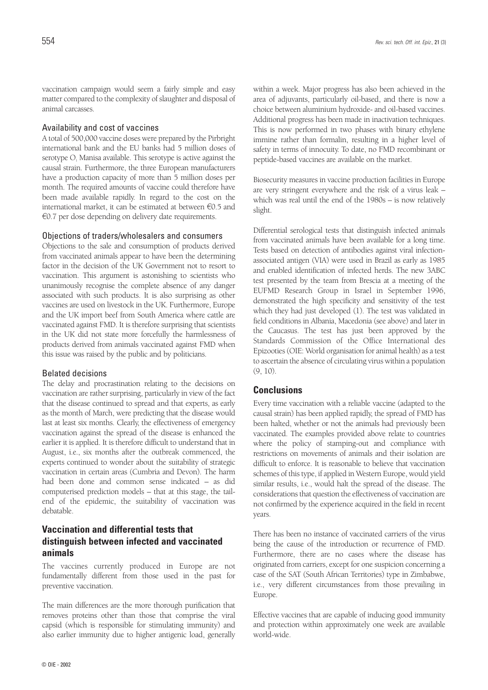#### Availability and cost of vaccines

A total of 500,000 vaccine doses were prepared by the Pirbright international bank and the EU banks had 5 million doses of serotype  $O<sub>1</sub>$  Manisa available. This serotype is active against the causal strain. Furthermore, the three European manufacturers have a production capacity of more than 5 million doses per month. The required amounts of vaccine could therefore have been made available rapidly. In regard to the cost on the international market, it can be estimated at between  $\epsilon$ 0.5 and  $60.7$  per dose depending on delivery date requirements.

#### Objections of traders/wholesalers and consumers

Objections to the sale and consumption of products derived from vaccinated animals appear to have been the determining factor in the decision of the UK Government not to resort to vaccination. This argument is astonishing to scientists who unanimously recognise the complete absence of any danger associated with such products. It is also surprising as other vaccines are used on livestock in the UK. Furthermore, Europe and the UK import beef from South America where cattle are vaccinated against FMD. It is therefore surprising that scientists in the UK did not state more forcefully the harmlessness of products derived from animals vaccinated against FMD when this issue was raised by the public and by politicians.

#### Belated decisions

The delay and procrastination relating to the decisions on vaccination are rather surprising, particularly in view of the fact that the disease continued to spread and that experts, as early as the month of March, were predicting that the disease would last at least six months. Clearly, the effectiveness of emergency vaccination against the spread of the disease is enhanced the earlier it is applied. It is therefore difficult to understand that in August, i.e., six months after the outbreak commenced, the experts continued to wonder about the suitability of strategic vaccination in certain areas (Cumbria and Devon). The harm had been done and common sense indicated – as did computerised prediction models – that at this stage, the tailend of the epidemic, the suitability of vaccination was debatable.

### **Vaccination and differential tests that distinguish between infected and vaccinated animals**

The vaccines currently produced in Europe are not fundamentally different from those used in the past for preventive vaccination.

The main differences are the more thorough purification that removes proteins other than those that comprise the viral capsid (which is responsible for stimulating immunity) and also earlier immunity due to higher antigenic load, generally

within a week. Major progress has also been achieved in the area of adjuvants, particularly oil-based, and there is now a choice between aluminium hydroxide- and oil-based vaccines. Additional progress has been made in inactivation techniques. This is now performed in two phases with binary ethylene immine rather than formalin, resulting in a higher level of safety in terms of innocuity. To date, no FMD recombinant or peptide-based vaccines are available on the market.

Biosecurity measures in vaccine production facilities in Europe are very stringent everywhere and the risk of a virus leak – which was real until the end of the 1980s – is now relatively slight.

Differential serological tests that distinguish infected animals from vaccinated animals have been available for a long time. Tests based on detection of antibodies against viral infectionassociated antigen (VIA) were used in Brazil as early as 1985 and enabled identification of infected herds. The new 3ABC test presented by the team from Brescia at a meeting of the EUFMD Research Group in Israel in September 1996, demonstrated the high specificity and sensitivity of the test which they had just developed (1). The test was validated in field conditions in Albania, Macedonia (see above) and later in the Caucasus. The test has just been approved by the Standards Commission of the Office International des Epizooties (OIE: World organisation for animal health) as a test to ascertain the absence of circulating virus within a population (9, 10).

#### **Conclusions**

Every time vaccination with a reliable vaccine (adapted to the causal strain) has been applied rapidly, the spread of FMD has been halted, whether or not the animals had previously been vaccinated. The examples provided above relate to countries where the policy of stamping-out and compliance with restrictions on movements of animals and their isolation are difficult to enforce. It is reasonable to believe that vaccination schemes of this type, if applied in Western Europe, would yield similar results, i.e., would halt the spread of the disease. The considerations that question the effectiveness of vaccination are not confirmed by the experience acquired in the field in recent years.

There has been no instance of vaccinated carriers of the virus being the cause of the introduction or recurrence of FMD. Furthermore, there are no cases where the disease has originated from carriers, except for one suspicion concerning a case of the SAT (South African Territories) type in Zimbabwe, i.e., very different circumstances from those prevailing in Europe.

Effective vaccines that are capable of inducing good immunity and protection within approximately one week are available world-wide.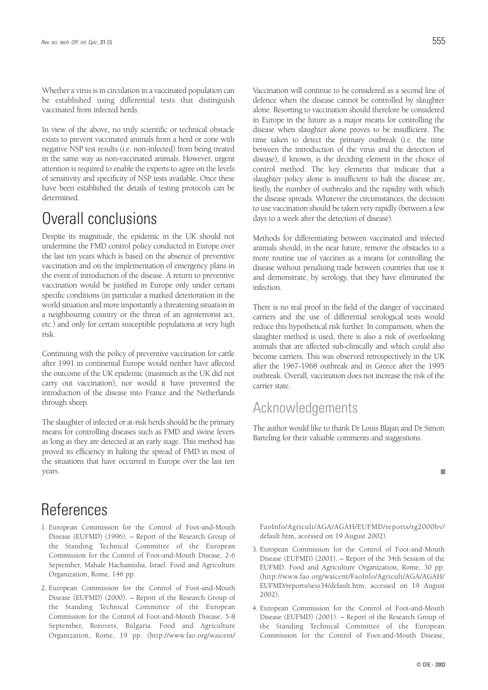Whether a virus is in circulation in a vaccinated population can be established using differential tests that distinguish vaccinated from infected herds.

In view of the above, no truly scientific or technical obstacle exists to prevent vaccinated animals from a herd or zone with negative NSP test results (i.e. non-infected) from being treated in the same way as non-vaccinated animals. However, urgent attention is required to enable the experts to agree on the levels of sensitivity and specificity of NSP tests available. Once these have been established the details of testing protocols can be determined.

## Overall conclusions

Despite its magnitude, the epidemic in the UK should not undermine the FMD control policy conducted in Europe over the last ten years which is based on the absence of preventive vaccination and on the implementation of emergency plans in the event of introduction of the disease. A return to preventive vaccination would be justified in Europe only under certain specific conditions (in particular a marked deterioration in the world situation and more importantly a threatening situation in a neighbouring country or the threat of an agroterrorist act, etc.) and only for certain susceptible populations at very high risk.

Continuing with the policy of preventive vaccination for cattle after 1991 in continental Europe would neither have affected the outcome of the UK epidemic (inasmuch as the UK did not carry out vaccination), nor would it have prevented the introduction of the disease into France and the Netherlands through sheep.

The slaughter of infected or at-risk herds should be the primary means for controlling diseases such as FMD and swine fevers as long as they are detected at an early stage. This method has proved its efficiency in halting the spread of FMD in most of the situations that have occurred in Europe over the last ten years.

## References

- 1. European Commission for the Control of Foot-and-Mouth Disease (EUFMD) (1996). – Report of the Research Group of the Standing Technical Committee of the European Commission for the Control of Foot-and-Mouth Disease, 2-6 September, Mahale Hachamisha, Israel. Food and Agriculture Organization, Rome, 146 pp.
- 2. European Commission for the Control of Foot-and-Mouth Disease (EUFMD) (2000). – Report of the Research Group of the Standing Technical Committee of the European Commission for the Control of Foot-and-Mouth Disease, 5-8 September, Borovets, Bulgaria. Food and Agriculture Organization, Rome, 19 pp. (http://www.fao.org/waicent/

Vaccination will continue to be considered as a second line of defence when the disease cannot be controlled by slaughter alone. Resorting to vaccination should therefore be considered in Europe in the future as a major means for controlling the disease when slaughter alone proves to be insufficient. The time taken to detect the primary outbreak (i.e. the time between the introduction of the virus and the detection of disease), if known, is the deciding element in the choice of control method. The key elements that indicate that a slaughter policy alone is insufficient to halt the disease are, firstly, the number of outbreaks and the rapidity with which the disease spreads. Whatever the circumstances, the decision to use vaccination should be taken very rapidly (between a few days to a week after the detection of disease).

Methods for differentiating between vaccinated and infected animals should, in the near future, remove the obstacles to a more routine use of vaccines as a means for controlling the disease without penalising trade between countries that use it and demonstrate, by serology, that they have eliminated the infection.

There is no real proof in the field of the danger of vaccinated carriers and the use of differential serological tests would reduce this hypothetical risk further. In comparison, when the slaughter method is used, there is also a risk of overlooking animals that are affected sub-clinically and which could also become carriers. This was observed retrospectively in the UK after the 1967-1968 outbreak and in Greece after the 1995 outbreak. Overall, vaccination does not increase the risk of the carrier state.

### Acknowledgements

The author would like to thank Dr Louis Blajan and Dr Simon Barteling for their valuable comments and suggestions.



FaoInfo/Agricult/AGA/AGAH/EUFMD/reports/rg2000bv/ default.htm, accessed on 19 August 2002).

- 3. European Commission for the Control of Foot-and-Mouth Disease (EUFMD) (2001). – Report of the 34th Session of the EUFMD. Food and Agriculture Organization, Rome, 30 pp. (http://www.fao.org/waicent/FaoInfo/Agricult/AGA/AGAH/ EUFMD/reports/sess34/default.htm, accessed on 19 August 2002).
- 4. European Commission for the Control of Foot-and-Mouth Disease (EUFMD) (2001). – Report of the Research Group of the Standing Technical Committee of the European Commission for the Control of Foot-and-Mouth Disease,